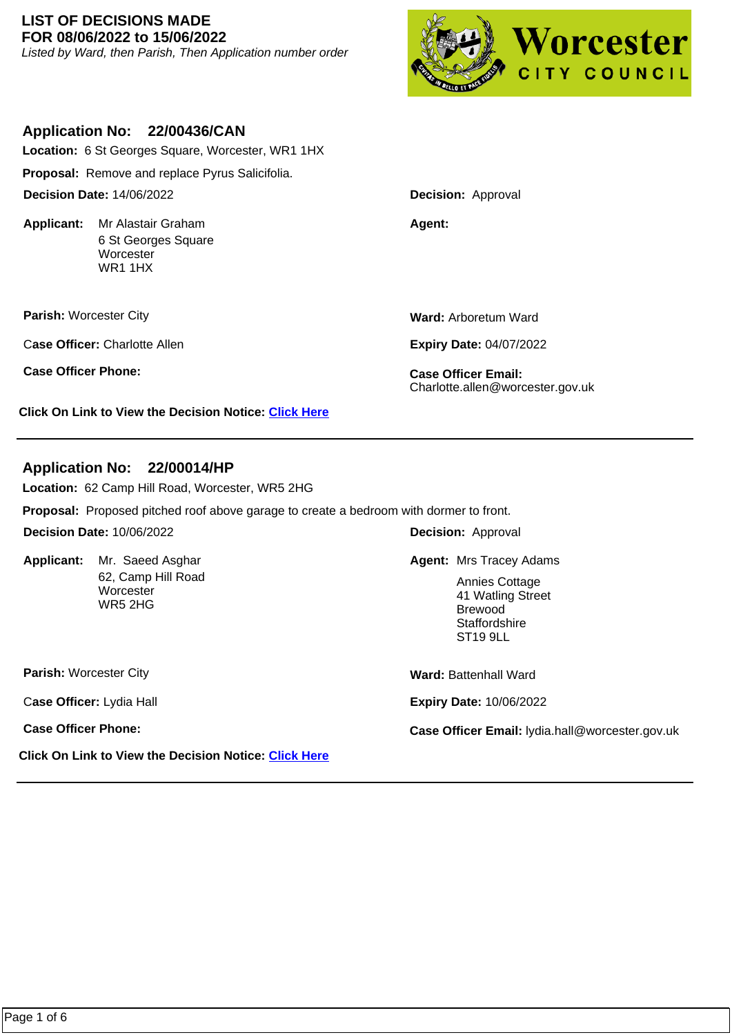### **LIST OF DECISIONS MADE FOR 08/06/2022 to 15/06/2022**

Listed by Ward, then Parish, Then Application number order



## **Application No: 22/00436/CAN**

**Location:** 6 St Georges Square, Worcester, WR1 1HX

**Proposal:** Remove and replace Pyrus Salicifolia.

**Decision Date:** 14/06/2022

**Applicant:** Mr Alastair Graham **Agent: Agent: Agent:** 6 St Georges Square **Worcester** WR1 1HX

**Parish:** Worcester City

C**ase Officer:** Charlotte Allen

**Case Officer Phone: Case Officer Email:** 

**Click On Link to View the Decision Notice: [Click Here](https://plan.worcester.gov.uk/Planning/Display/22/00436/CAN)**

**Ward:** Arboretum Ward

**Decision:** Approval

**Expiry Date:** 04/07/2022

Charlotte.allen@worcester.gov.uk

# **Application No: 22/00014/HP**

**Location:** 62 Camp Hill Road, Worcester, WR5 2HG

**Proposal:** Proposed pitched roof above garage to create a bedroom with dormer to front.

**Decision Date:** 10/06/2022

Applicant: Mr. Saeed Asghar 62, Camp Hill Road **Worcester** WR5 2HG

**Decision:** Approval

Mr. Saeed Asghar **Mr. Saeed Asghar Mrs Tracey Adams** 

Annies Cottage 41 Watling Street Brewood **Staffordshire** ST19 9LL

**Parish:** Worcester City

C**ase Officer:** Lydia Hall

**Click On Link to View the Decision Notice: [Click Here](https://plan.worcester.gov.uk/Planning/Display/22/00014/HP)**

**Ward:** Battenhall Ward

**Expiry Date:** 10/06/2022

**Case Officer Phone: Case Officer Email:** lydia.hall@worcester.gov.uk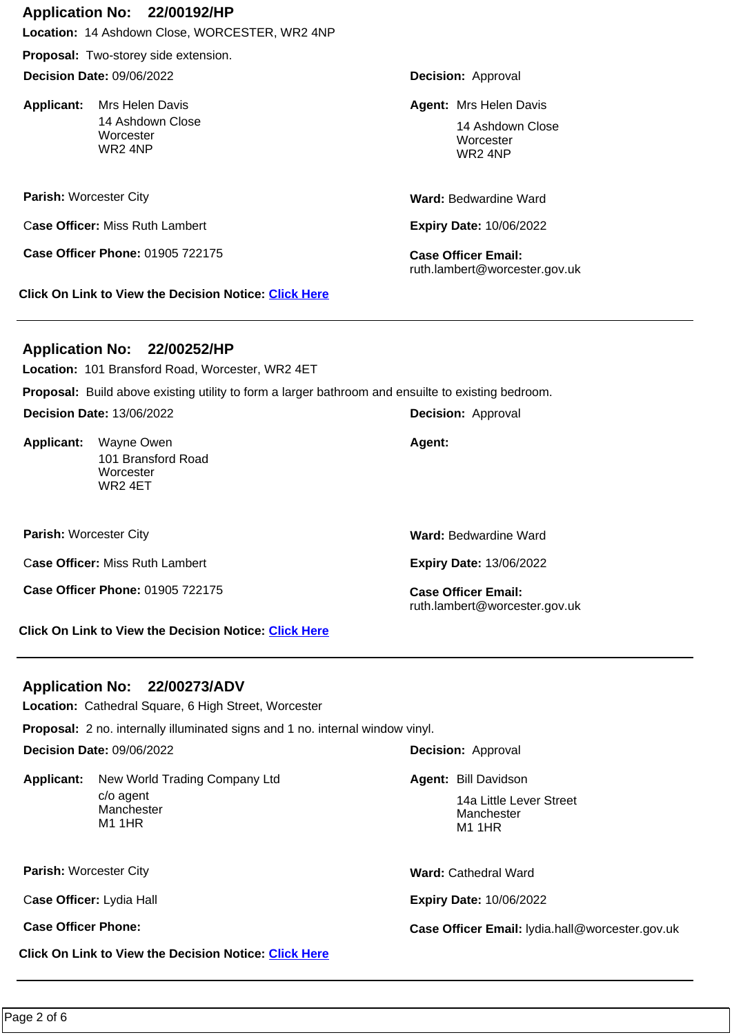### **Application No: 22/00192/HP**

**Location:** 14 Ashdown Close, WORCESTER, WR2 4NP

**Proposal:** Two-storey side extension.

**Decision Date:** 09/06/2022

Applicant: Mrs Helen Davis 14 Ashdown Close **Worcester** WR2 4NP

**Parish:** Worcester City

C**ase Officer:** Miss Ruth Lambert

**Case Officer Phone:** 01905 722175 **Case Officer Email:** 

**Click On Link to View the Decision Notice: [Click Here](https://plan.worcester.gov.uk/Planning/Display/22/00192/HP)**

**Decision:** Approval

**Mrs Helen Davis** Mrs Helen Davis **Mrs Helen Davis** Mrs Helen Davis

14 Ashdown Close **Worcester** WR2 4NP

**Ward:** Bedwardine Ward

**Expiry Date:** 10/06/2022

ruth.lambert@worcester.gov.uk

## **Application No: 22/00252/HP**

**Location:** 101 Bransford Road, Worcester, WR2 4ET

**Proposal:** Build above existing utility to form a larger bathroom and ensuilte to existing bedroom.

**Decision Date:** 13/06/2022

**Applicant:**  101 Bransford Road **Worcester** WR2 4ET Wayne Owen **Agent: Agent: Agent:** 

**Parish:** Worcester City

C**ase Officer:** Miss Ruth Lambert

**Case Officer Phone:** 01905 722175 **Case Officer Email:** 

**Ward:** Bedwardine Ward

**Expiry Date:** 13/06/2022

ruth.lambert@worcester.gov.uk

**Click On Link to View the Decision Notice: [Click Here](https://plan.worcester.gov.uk/Planning/Display/22/00252/HP)**

## **Application No: 22/00273/ADV**

**Location:** Cathedral Square, 6 High Street, Worcester

**Proposal:** 2 no. internally illuminated signs and 1 no. internal window vinyl.

**Decision Date:** 09/06/2022

**Applicant:**  c/o agent Manchester M1 1HR New World Trading Company Ltd

**Parish:** Worcester City

C**ase Officer:** Lydia Hall

**Click On Link to View the Decision Notice: [Click Here](https://plan.worcester.gov.uk/Planning/Display/22/00273/ADV)**

**Decision:** Approval

**Agent: Bill Davidson** 

14a Little Lever Street Manchester M1 1HR

**Ward:** Cathedral Ward

**Expiry Date:** 10/06/2022

**Case Officer Phone: Case Officer Email:** lydia.hall@worcester.gov.uk

**Decision:** Approval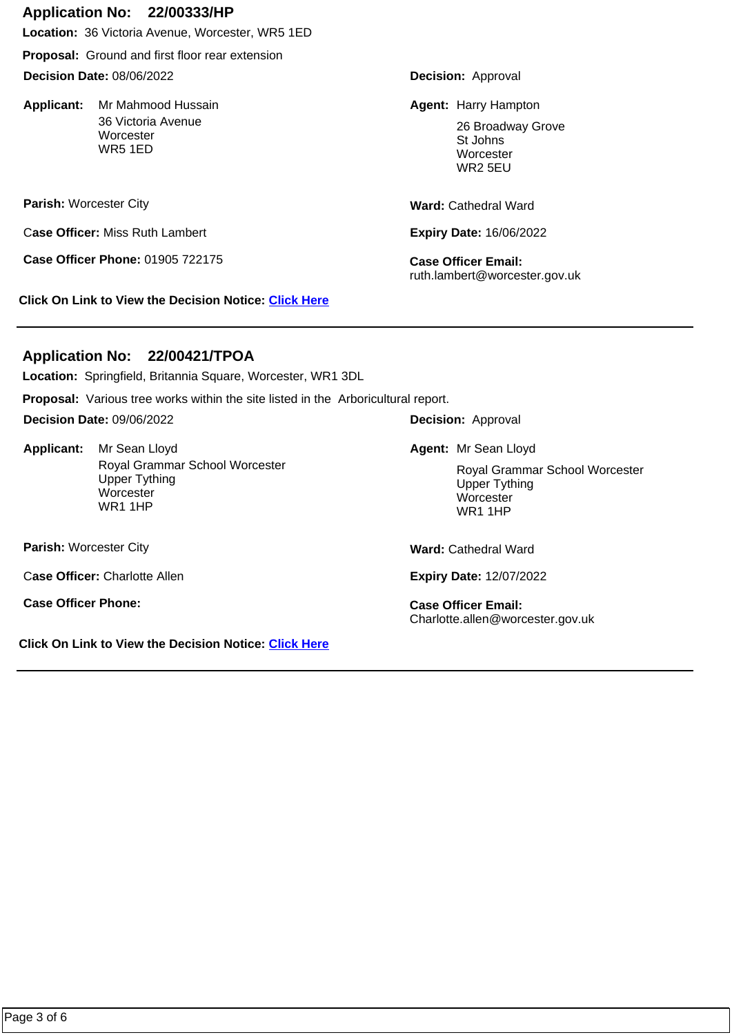## **Application No: 22/00333/HP**

**Location:** 36 Victoria Avenue, Worcester, WR5 1ED

**Proposal:** Ground and first floor rear extension

**Decision Date:** 08/06/2022

Applicant: Mr Mahmood Hussain 36 Victoria Avenue **Worcester** WR5 1ED

**Parish:** Worcester City

C**ase Officer:** Miss Ruth Lambert

**Case Officer Phone:** 01905 722175 **Case Officer Email:** 

**Click On Link to View the Decision Notice: [Click Here](https://plan.worcester.gov.uk/Planning/Display/22/00333/HP)**

**Decision:** Approval

Mr Mahmood Hussain **Agent: Harry Hampton Agent:** Harry Hampton

26 Broadway Grove St Johns **Worcester** WR2 5EU

**Ward:** Cathedral Ward

**Expiry Date:** 16/06/2022

ruth.lambert@worcester.gov.uk

## **Application No: 22/00421/TPOA**

**Location:** Springfield, Britannia Square, Worcester, WR1 3DL

**Proposal:** Various tree works within the site listed in the Arboricultural report.

**Decision Date:** 09/06/2022

Applicant: Mr Sean Lloyd Royal Grammar School Worcester Upper Tything **Worcester** WR1 1HP Mr Sean Lloyd **Agent:** Mr Sean Lloyd

**Parish:** Worcester City

C**ase Officer:** Charlotte Allen

**Case Officer Phone: Case Officer Email:** 

**Click On Link to View the Decision Notice: [Click Here](https://plan.worcester.gov.uk/Planning/Display/22/00421/TPOA)**

**Decision:** Approval

Royal Grammar School Worcester Upper Tything **Worcester** WR1 1HP

**Ward:** Cathedral Ward

**Expiry Date:** 12/07/2022

Charlotte.allen@worcester.gov.uk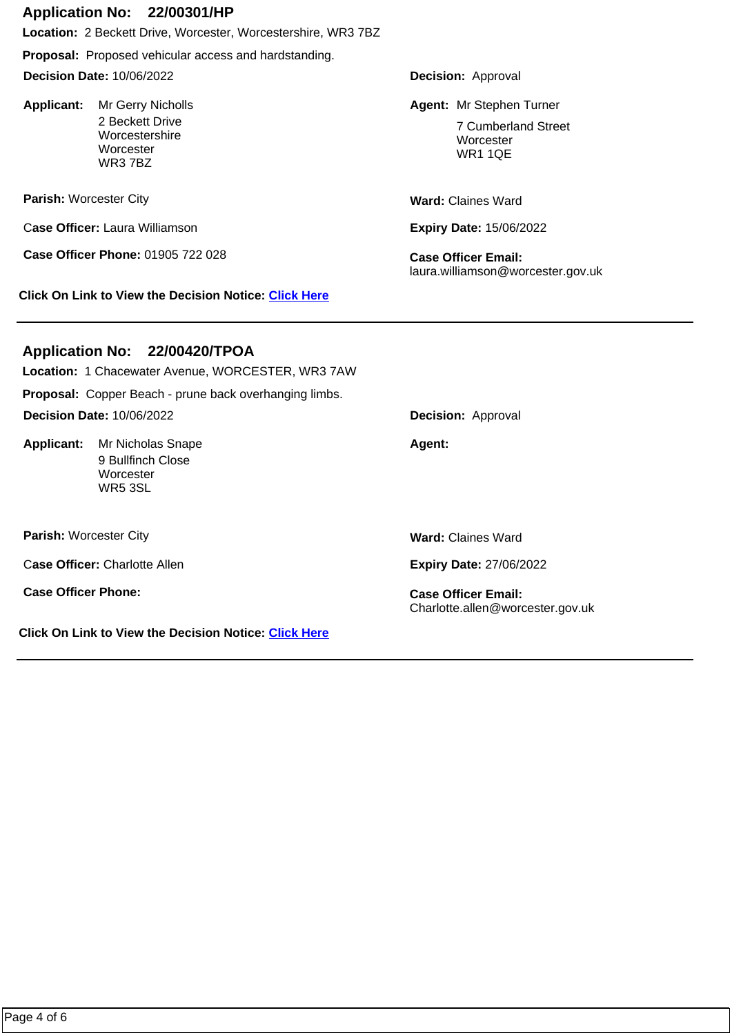#### **Application No: 22/00301/HP**

**Location:** 2 Beckett Drive, Worcester, Worcestershire, WR3 7BZ

**Proposal:** Proposed vehicular access and hardstanding.

**Decision Date:** 10/06/2022

Applicant: Mr Gerry Nicholls 2 Beckett Drive Worcestershire **Worcester** WR3 7BZ

**Parish:** Worcester City

C**ase Officer:** Laura Williamson

**Case Officer Phone:** 01905 722 028 **Case Officer Email:** 

**Click On Link to View the Decision Notice: [Click Here](https://plan.worcester.gov.uk/Planning/Display/22/00301/HP)**

**Decision:** Approval

Mr Gerry Nicholls **Mr Stephen Turner** Mr Stephen Turner

7 Cumberland Street **Worcester** WR1 1QE

**Ward:** Claines Ward

**Expiry Date:** 15/06/2022

laura.williamson@worcester.gov.uk

# **Application No: 22/00420/TPOA**

**Proposal:** Copper Beach - prune back overhanging limbs. **Location:** 1 Chacewater Avenue, WORCESTER, WR3 7AW **Decision Date:** 10/06/2022

**Applicant:** Mr Nicholas Snape **Agent: Agent: Agent:** 9 Bullfinch Close **Worcester** WR5 3SL

**Parish:** Worcester City

C**ase Officer:** Charlotte Allen

**Case Officer Phone: Case Officer Email:** 

**Click On Link to View the Decision Notice: [Click Here](https://plan.worcester.gov.uk/Planning/Display/22/00420/TPOA)**

**Decision:** Approval

**Ward:** Claines Ward

**Expiry Date:** 27/06/2022

Charlotte.allen@worcester.gov.uk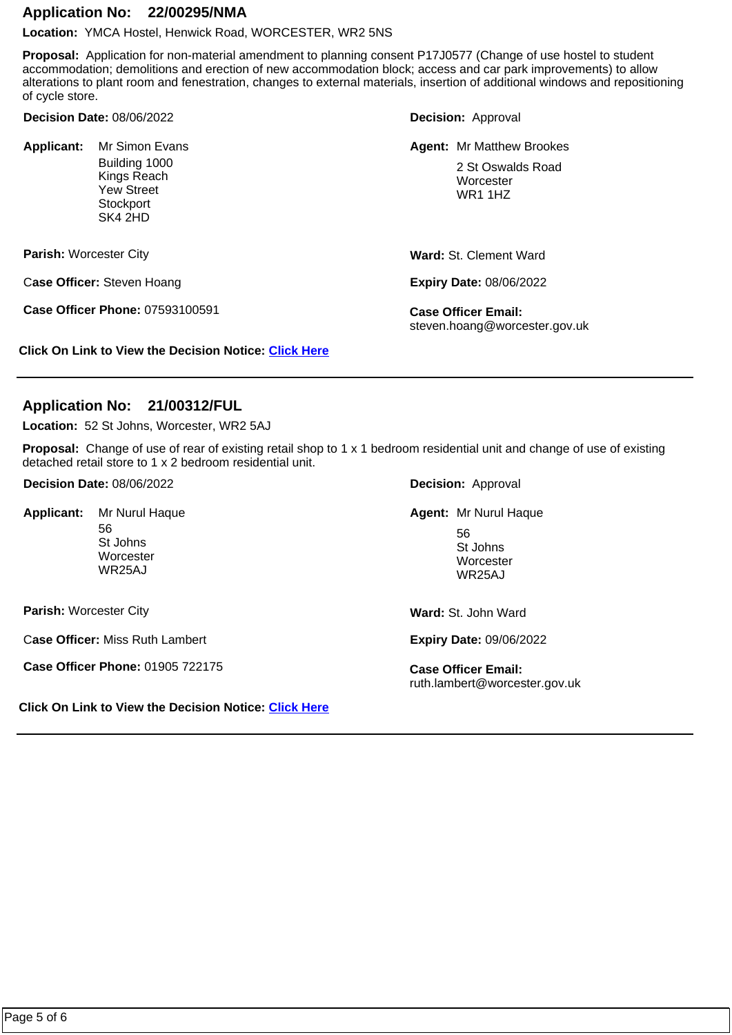### **Application No: 22/00295/NMA**

**Location:** YMCA Hostel, Henwick Road, WORCESTER, WR2 5NS

**Proposal:** Application for non-material amendment to planning consent P17J0577 (Change of use hostel to student accommodation; demolitions and erection of new accommodation block; access and car park improvements) to allow alterations to plant room and fenestration, changes to external materials, insertion of additional windows and repositioning of cycle store.

**Decision Date:** 08/06/2022

Applicant: Mr Simon Evans Building 1000 Kings Reach Yew Street **Stockport** SK4 2HD

**Parish:** Worcester City

C**ase Officer:** Steven Hoang

**Case Officer Phone:** 07593100591 **Case Officer Email:** 

**Decision:** Approval

Mr Simon Evans Matthew Brookes **Mr Simon Evans Mr Matthew Brookes** 

2 St Oswalds Road **Worcester** WR1 1HZ

**Ward:** St. Clement Ward

**Expiry Date:** 08/06/2022

steven.hoang@worcester.gov.uk

**Click On Link to View the Decision Notice: [Click Here](https://plan.worcester.gov.uk/Planning/Display/22/00295/NMA)**

## **Application No: 21/00312/FUL**

**Location:** 52 St Johns, Worcester, WR2 5AJ

**Proposal:** Change of use of rear of existing retail shop to 1 x 1 bedroom residential unit and change of use of existing detached retail store to 1 x 2 bedroom residential unit.

| <b>Decision Date: 08/06/2022</b> |                                                         | <b>Decision: Approval</b>                                             |
|----------------------------------|---------------------------------------------------------|-----------------------------------------------------------------------|
| <b>Applicant:</b>                | Mr Nurul Haque<br>56<br>St Johns<br>Worcester<br>WR25AJ | <b>Agent: Mr Nurul Haque</b><br>56<br>St Johns<br>Worcester<br>WR25AJ |
| <b>Parish: Worcester City</b>    |                                                         | <b>Ward: St. John Ward</b>                                            |
| Case Officer: Miss Ruth Lambert  |                                                         | <b>Expiry Date: 09/06/2022</b>                                        |
| Case Officer Phone: 01905 722175 |                                                         | <b>Case Officer Email:</b>                                            |

**Click On Link to View the Decision Notice: [Click Here](https://plan.worcester.gov.uk/Planning/Display/21/00312/FUL)**

ruth.lambert@worcester.gov.uk